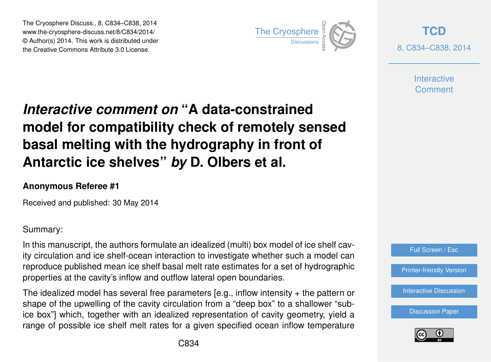The Cryosphere Discuss., 8, C834–C838, 2014 www.the-cryosphere-discuss.net/8/C834/2014/ © Author(s) 2014. This work is distributed under The Cryosphere Discuss., 8, C834–C838, 2014<br>
www.the-cryosphere-discuss.net/8/C834/2014/<br>
© Author(s) 2014. This work is distributed under<br>
the Creative Commons Attribute 3.0 License.



**[TCD](http://www.the-cryosphere-discuss.net)** 8, C834–C838, 2014

> **Interactive Comment**

# *Interactive comment on* **"A data-constrained model for compatibility check of remotely sensed basal melting with the hydrography in front of Antarctic ice shelves"** *by* **D. Olbers et al.**

### **Anonymous Referee #1**

Received and published: 30 May 2014

Summary:

In this manuscript, the authors formulate an idealized (multi) box model of ice shelf cavity circulation and ice shelf-ocean interaction to investigate whether such a model can reproduce published mean ice shelf basal melt rate estimates for a set of hydrographic properties at the cavity's inflow and outflow lateral open boundaries.

The idealized model has several free parameters [e.g., inflow intensity + the pattern or shape of the upwelling of the cavity circulation from a "deep box" to a shallower "subice box"] which, together with an idealized representation of cavity geometry, yield a range of possible ice shelf melt rates for a given specified ocean inflow temperature



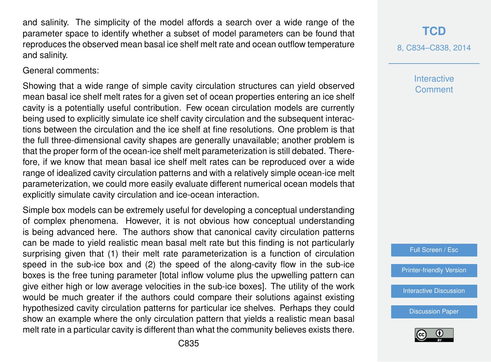and salinity. The simplicity of the model affords a search over a wide range of the parameter space to identify whether a subset of model parameters can be found that reproduces the observed mean basal ice shelf melt rate and ocean outflow temperature and salinity.

General comments:

Showing that a wide range of simple cavity circulation structures can yield observed mean basal ice shelf melt rates for a given set of ocean properties entering an ice shelf cavity is a potentially useful contribution. Few ocean circulation models are currently being used to explicitly simulate ice shelf cavity circulation and the subsequent interactions between the circulation and the ice shelf at fine resolutions. One problem is that the full three-dimensional cavity shapes are generally unavailable; another problem is that the proper form of the ocean-ice shelf melt parameterization is still debated. Therefore, if we know that mean basal ice shelf melt rates can be reproduced over a wide range of idealized cavity circulation patterns and with a relatively simple ocean-ice melt parameterization, we could more easily evaluate different numerical ocean models that explicitly simulate cavity circulation and ice-ocean interaction.

Simple box models can be extremely useful for developing a conceptual understanding of complex phenomena. However, it is not obvious how conceptual understanding is being advanced here. The authors show that canonical cavity circulation patterns can be made to yield realistic mean basal melt rate but this finding is not particularly surprising given that (1) their melt rate parameterization is a function of circulation speed in the sub-ice box and (2) the speed of the along-cavity flow in the sub-ice boxes is the free tuning parameter [total inflow volume plus the upwelling pattern can give either high or low average velocities in the sub-ice boxes]. The utility of the work would be much greater if the authors could compare their solutions against existing hypothesized cavity circulation patterns for particular ice shelves. Perhaps they could show an example where the only circulation pattern that yields a realistic mean basal melt rate in a particular cavity is different than what the community believes exists there.

## **[TCD](http://www.the-cryosphere-discuss.net)**

8, C834–C838, 2014

**Interactive Comment** 

Full Screen / Esc

[Printer-friendly Version](http://www.the-cryosphere-discuss.net/8/C834/2014/tcd-8-C834-2014-print.pdf)

**[Interactive Discussion](http://www.the-cryosphere-discuss.net/8/919/2014/tcd-8-919-2014-discussion.html)** 

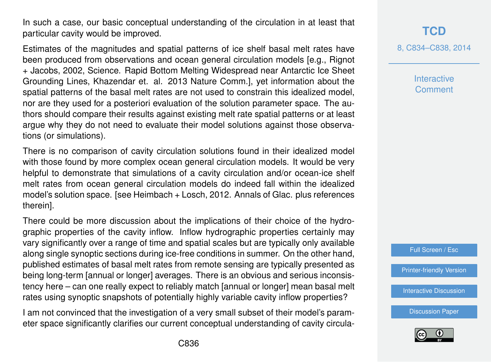In such a case, our basic conceptual understanding of the circulation in at least that particular cavity would be improved.

Estimates of the magnitudes and spatial patterns of ice shelf basal melt rates have been produced from observations and ocean general circulation models [e.g., Rignot + Jacobs, 2002, Science. Rapid Bottom Melting Widespread near Antarctic Ice Sheet Grounding Lines, Khazendar et. al. 2013 Nature Comm.], yet information about the spatial patterns of the basal melt rates are not used to constrain this idealized model, nor are they used for a posteriori evaluation of the solution parameter space. The authors should compare their results against existing melt rate spatial patterns or at least argue why they do not need to evaluate their model solutions against those observations (or simulations).

There is no comparison of cavity circulation solutions found in their idealized model with those found by more complex ocean general circulation models. It would be very helpful to demonstrate that simulations of a cavity circulation and/or ocean-ice shelf melt rates from ocean general circulation models do indeed fall within the idealized model's solution space. [see Heimbach + Losch, 2012. Annals of Glac. plus references therein].

There could be more discussion about the implications of their choice of the hydrographic properties of the cavity inflow. Inflow hydrographic properties certainly may vary significantly over a range of time and spatial scales but are typically only available along single synoptic sections during ice-free conditions in summer. On the other hand, published estimates of basal melt rates from remote sensing are typically presented as being long-term [annual or longer] averages. There is an obvious and serious inconsistency here – can one really expect to reliably match [annual or longer] mean basal melt rates using synoptic snapshots of potentially highly variable cavity inflow properties?

I am not convinced that the investigation of a very small subset of their model's parameter space significantly clarifies our current conceptual understanding of cavity circula-

## **[TCD](http://www.the-cryosphere-discuss.net)**

8, C834–C838, 2014

**Interactive Comment** 



[Printer-friendly Version](http://www.the-cryosphere-discuss.net/8/C834/2014/tcd-8-C834-2014-print.pdf)

[Interactive Discussion](http://www.the-cryosphere-discuss.net/8/919/2014/tcd-8-919-2014-discussion.html)

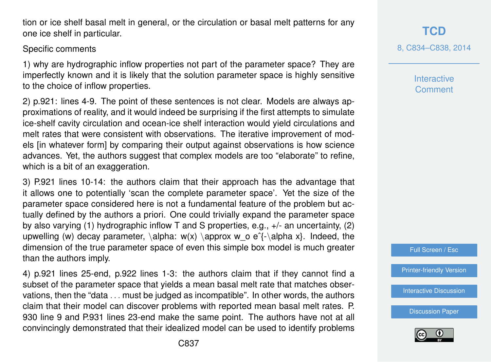tion or ice shelf basal melt in general, or the circulation or basal melt patterns for any one ice shelf in particular.

#### Specific comments

1) why are hydrographic inflow properties not part of the parameter space? They are imperfectly known and it is likely that the solution parameter space is highly sensitive to the choice of inflow properties.

2) p.921: lines 4-9. The point of these sentences is not clear. Models are always approximations of reality, and it would indeed be surprising if the first attempts to simulate ice-shelf cavity circulation and ocean-ice shelf interaction would yield circulations and melt rates that were consistent with observations. The iterative improvement of models [in whatever form] by comparing their output against observations is how science advances. Yet, the authors suggest that complex models are too "elaborate" to refine, which is a bit of an exaggeration.

3) P.921 lines 10-14: the authors claim that their approach has the advantage that it allows one to potentially 'scan the complete parameter space'. Yet the size of the parameter space considered here is not a fundamental feature of the problem but actually defined by the authors a priori. One could trivially expand the parameter space by also varying (1) hydrographic inflow T and S properties, e.g., +/- an uncertainty, (2) upwelling (w) decay parameter, \alpha:  $w(x) \approx w$  o e^{-\alpha x}. Indeed, the dimension of the true parameter space of even this simple box model is much greater than the authors imply.

4) p.921 lines 25-end, p.922 lines 1-3: the authors claim that if they cannot find a subset of the parameter space that yields a mean basal melt rate that matches observations, then the "data . . . must be judged as incompatible". In other words, the authors claim that their model can discover problems with reported mean basal melt rates. P. 930 line 9 and P.931 lines 23-end make the same point. The authors have not at all convincingly demonstrated that their idealized model can be used to identify problems **Interactive Comment** 

Full Screen / Esc

[Printer-friendly Version](http://www.the-cryosphere-discuss.net/8/C834/2014/tcd-8-C834-2014-print.pdf)

[Interactive Discussion](http://www.the-cryosphere-discuss.net/8/919/2014/tcd-8-919-2014-discussion.html)